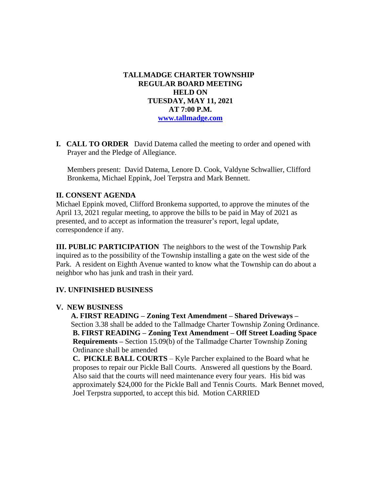# **TALLMADGE CHARTER TOWNSHIP REGULAR BOARD MEETING HELD ON TUESDAY, MAY 11, 2021 AT 7:00 P.M. [www.tallmadge.com](http://www.tallmadge.com/)**

**I. CALL TO ORDER** David Datema called the meeting to order and opened with Prayer and the Pledge of Allegiance.

Members present: David Datema, Lenore D. Cook, Valdyne Schwallier, Clifford Bronkema, Michael Eppink, Joel Terpstra and Mark Bennett.

### **II. CONSENT AGENDA**

Michael Eppink moved, Clifford Bronkema supported, to approve the minutes of the April 13, 2021 regular meeting, to approve the bills to be paid in May of 2021 as presented, and to accept as information the treasurer's report, legal update, correspondence if any.

**III. PUBLIC PARTICIPATION** The neighbors to the west of the Township Park inquired as to the possibility of the Township installing a gate on the west side of the Park. A resident on Eighth Avenue wanted to know what the Township can do about a neighbor who has junk and trash in their yard.

### **IV. UNFINISHED BUSINESS**

### **V. NEW BUSINESS**

 **A. FIRST READING – Zoning Text Amendment – Shared Driveways –** Section 3.38 shall be added to the Tallmadge Charter Township Zoning Ordinance. **B. FIRST READING – Zoning Text Amendment – Off Street Loading Space Requirements –** Section 15.09(b) of the Tallmadge Charter Township Zoning Ordinance shall be amended

 **C. PICKLE BALL COURTS** – Kyle Parcher explained to the Board what he proposes to repair our Pickle Ball Courts. Answered all questions by the Board. Also said that the courts will need maintenance every four years. His bid was approximately \$24,000 for the Pickle Ball and Tennis Courts. Mark Bennet moved, Joel Terpstra supported, to accept this bid. Motion CARRIED